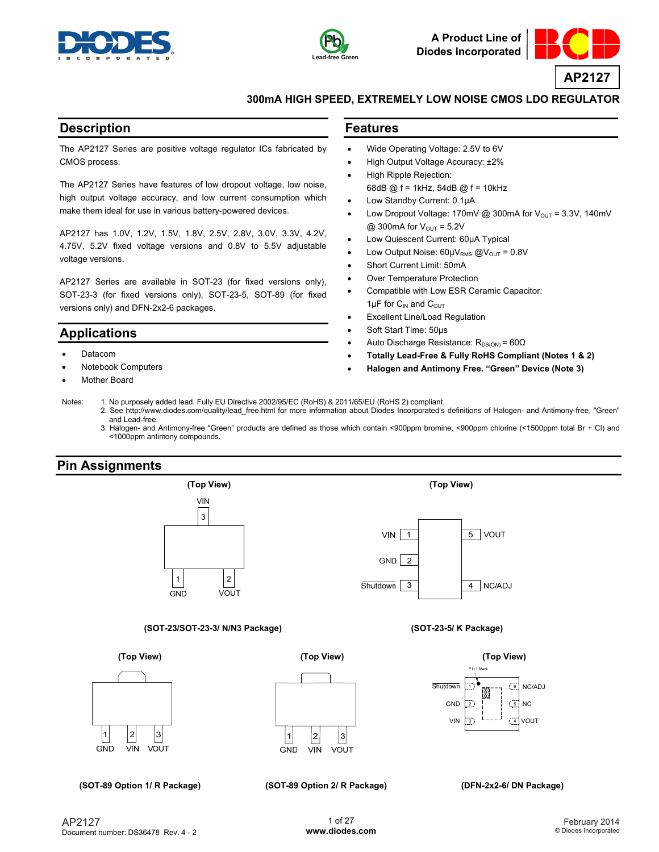



**A Product Line of Diodes Incorporated**



## **300mA HIGH SPEED, EXTREMELY LOW NOISE CMOS LDO REGULATOR**

## **Description**

The AP2127 Series are positive voltage regulator ICs fabricated by CMOS process.

The AP2127 Series have features of low dropout voltage, low noise, high output voltage accuracy, and low current consumption which make them ideal for use in various battery-powered devices.

AP2127 has 1.0V, 1.2V, 1.5V, 1.8V, 2.5V, 2.8V, 3.0V, 3.3V, 4.2V, 4.75V, 5.2V fixed voltage versions and 0.8V to 5.5V adjustable voltage versions.

AP2127 Series are available in SOT-23 (for fixed versions only), SOT-23-3 (for fixed versions only), SOT-23-5, SOT-89 (for fixed versions only) and DFN-2x2-6 packages.

## **Applications**

- Datacom
- Notebook Computers
- Mother Board

## **Features**

- Wide Operating Voltage: 2.5V to 6V
- High Output Voltage Accuracy: ±2%
- High Ripple Rejection: 68dB @ f = 1kHz, 54dB @ f = 10kHz
- Low Standby Current: 0.1μA
- Low Dropout Voltage: 170mV @ 300mA for  $V_{OUT} = 3.3V$ , 140mV @ 300mA for  $V_{\text{OUT}} = 5.2V$
- Low Quiescent Current: 60μA Typical
- Low Output Noise:  $60 \mu V_{RMS}$  @ $V_{OUT}$  = 0.8V
- Short Current Limit: 50mA
- Over Temperature Protection
- Compatible with Low ESR Ceramic Capacitor:  $1 \mu$ F for C<sub>IN</sub> and C<sub>OUT</sub>
- **Excellent Line/Load Regulation**
- Soft Start Time: 50μs
- Auto Discharge Resistance:  $R_{DS(ON)} = 60Ω$
- **Totally Lead-Free & Fully RoHS Compliant (Notes 1 & 2)**
- **Halogen and Antimony Free. "Green" Device (Note 3)**
- Notes: 1. No purposely added lead. Fully EU Directive 2002/95/EC (RoHS) & 2011/65/EU (RoHS 2) compliant.
	- 2. See [http://www.diodes.com/quality/lead\\_free.html fo](http://www.diodes.com/quality/lead_free.html)r more information about Diodes Incorporated's definitions of Halogen- and Antimony-free, "Green" and Lead-free.
	- 3. Halogen- and Antimony-free "Green" products are defined as those which contain <900ppm bromine, <900ppm chlorine (<1500ppm total Br + Cl) and <1000ppm antimony compounds.

## **Pin Assignments**

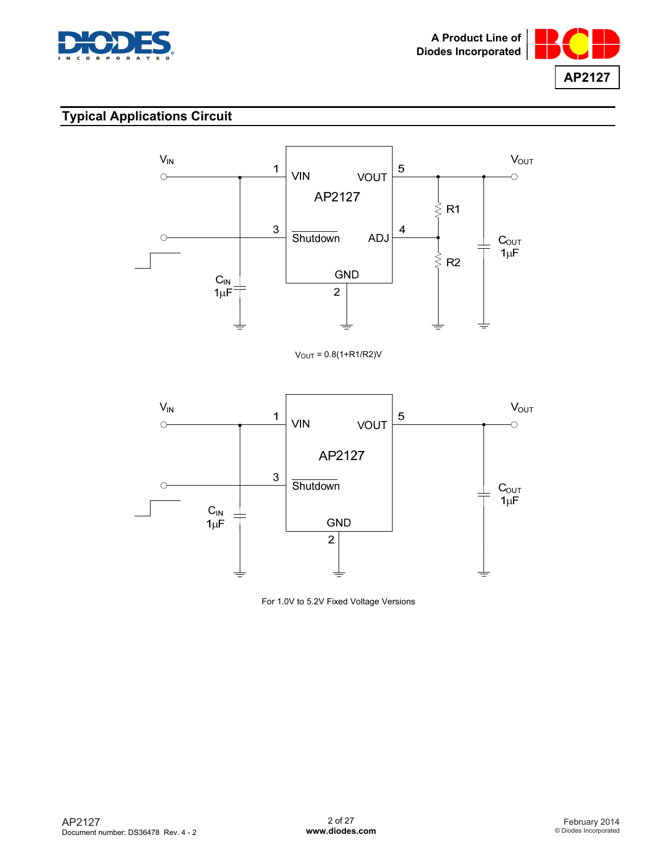



# **Typical Applications Circuit**



 $V_{OUT} = 0.8(1 + R1/R2)V$ 



For 1.0V to 5.2V Fixed Voltage Versions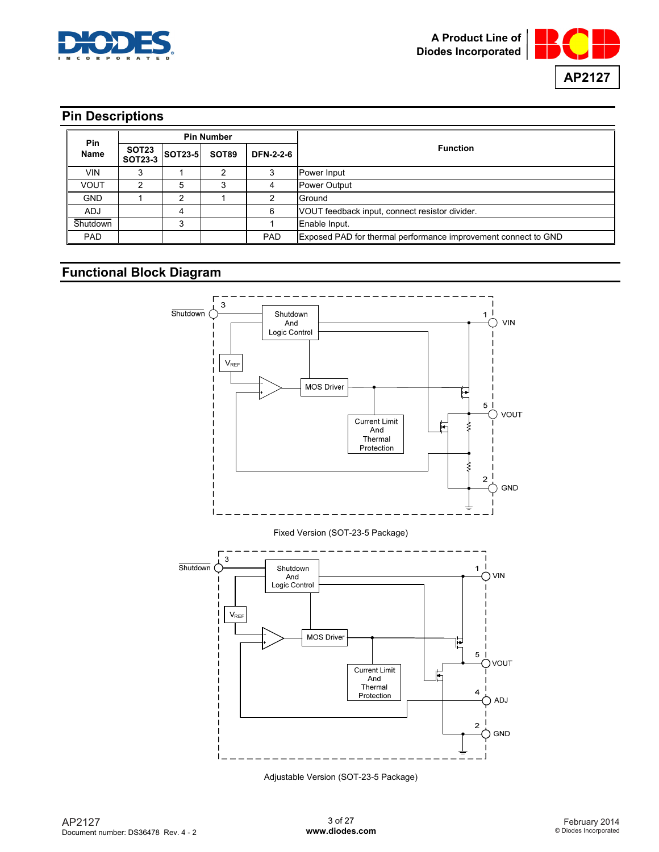



# **Pin Descriptions**

| <b>Pin</b>                                        | <b>Pin Number</b> |       |                  |                 |                                                                |
|---------------------------------------------------|-------------------|-------|------------------|-----------------|----------------------------------------------------------------|
| SOT23<br>Name<br><b>SOT23-5</b><br><b>SOT23-3</b> |                   | SOT89 | <b>DFN-2-2-6</b> | <b>Function</b> |                                                                |
| VIN                                               |                   |       |                  |                 | Power Input                                                    |
| <b>VOUT</b>                                       |                   | 5     |                  |                 | <b>Power Output</b>                                            |
| <b>GND</b>                                        |                   | ົ     |                  |                 | Ground                                                         |
| <b>ADJ</b>                                        |                   |       |                  | 6               | VOUT feedback input, connect resistor divider.                 |
| Shutdown                                          |                   | 3     |                  |                 | Enable Input.                                                  |
| <b>PAD</b>                                        |                   |       |                  | <b>PAD</b>      | Exposed PAD for thermal performance improvement connect to GND |

# **Functional Block Diagram**



Adjustable Version (SOT-23-5 Package)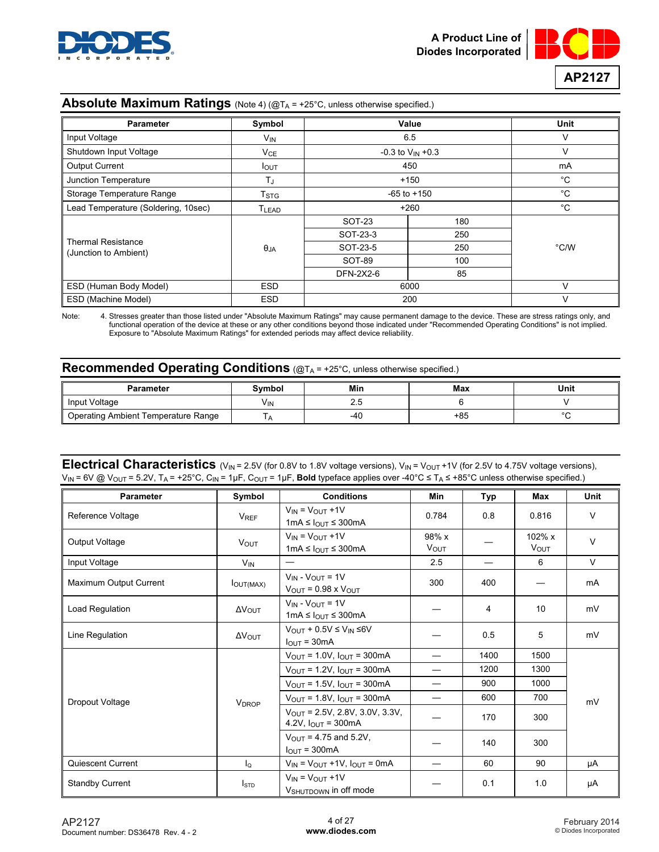



## **Absolute Maximum Ratings** (Note 4) (@TA = +25°C, unless otherwise specified.)

| <b>Parameter</b>                    | Symbol            | Value                   |     | <b>Unit</b>   |
|-------------------------------------|-------------------|-------------------------|-----|---------------|
| Input Voltage                       | V <sub>IN</sub>   | 6.5                     |     | v             |
| Shutdown Input Voltage              | $V_{CE}$          | $-0.3$ to $V_{IN}$ +0.3 |     | V             |
| <b>Output Current</b>               | <b>I</b> OUT      | 450                     |     | mA            |
| Junction Temperature                | TJ                | $+150$                  |     | $^{\circ}$ C  |
| Storage Temperature Range           | T <sub>STG</sub>  | $-65$ to $+150$         |     | $^{\circ}$ C  |
| Lead Temperature (Soldering, 10sec) | T <sub>LEAD</sub> | $+260$                  |     | °C            |
|                                     |                   | SOT-23                  | 180 |               |
|                                     |                   | SOT-23-3                | 250 |               |
| <b>Thermal Resistance</b>           | $\theta_{JA}$     | SOT-23-5                | 250 | $\degree$ C/W |
| (Junction to Ambient)               |                   | SOT-89                  | 100 |               |
|                                     |                   | DFN-2X2-6               | 85  |               |
| ESD (Human Body Model)              | <b>ESD</b>        | 6000                    |     | $\vee$        |
| ESD (Machine Model)                 | <b>ESD</b>        | 200                     |     | $\vee$        |

Note: 4. Stresses greater than those listed under "Absolute Maximum Ratings" may cause permanent damage to the device. These are stress ratings only, and functional operation of the device at these or any other conditions beyond those indicated under "Recommended Operating Conditions" is not implied. Exposure to "Absolute Maximum Ratings" for extended periods may affect device reliability.

# **Recommended Operating Conditions** (@TA = +25°C, unless otherwise specified.)

| <b>Parameter</b>                    | Symbol | Min | Max | Unit   |
|-------------------------------------|--------|-----|-----|--------|
| Input Voltage                       | VIN.   | 2.J |     |        |
| Operating Ambient Temperature Range |        | -4u | +85 | $\sim$ |

## **Electrical Characteristics** (V<sub>IN</sub> = 2.5V (for 0.8V to 1.8V voltage versions), V<sub>IN</sub> = V<sub>OUT</sub> +1V (for 2.5V to 4.75V voltage versions), VIN = 6V @ VOUT = 5.2V, TA = +25°C, CIN = 1μF, COUT = 1μF, **Bold** typeface applies over -40°C ≤ TA ≤ +85°C unless otherwise specified.)

| <b>Parameter</b>       | Symbol                   | <b>Conditions</b>                                                             | Min              | Typ  | Max                   | <b>Unit</b> |  |
|------------------------|--------------------------|-------------------------------------------------------------------------------|------------------|------|-----------------------|-------------|--|
| Reference Voltage      | V <sub>REF</sub>         | $V_{IN} = V_{OUT} + 1V$<br>1mA $\leq$ $I_{\text{OUT}} \leq$ 300mA             | 0.784            | 0.8  | 0.816                 | $\vee$      |  |
| Output Voltage         | <b>VOUT</b>              | $V_{IN} = V_{OUIT} + 1V$<br>1mA ≤ $I_{\text{OUT}}$ ≤ 300mA                    | $98\% x$<br>VOUT |      | 102% x<br><b>VOUT</b> | $\vee$      |  |
| Input Voltage          | <b>V<sub>IN</sub></b>    |                                                                               | 2.5              |      | 6                     | $\vee$      |  |
| Maximum Output Current | <b>JOUT(MAX)</b>         | $V_{IN} - V_{OUIT} = 1V$<br>$V_{\text{OUT}}$ = 0.98 x $V_{\text{OUT}}$        | 300              | 400  |                       | mA          |  |
| Load Regulation        | $\Delta V_{\text{OUT}}$  | $V_{IN} - V_{OUIT} = 1V$<br>1mA ≤ $I_{OUT}$ ≤ 300mA                           |                  | 4    | 10                    | mV          |  |
| Line Regulation        | $\Delta V_{\rm OUT}$     | $V_{OUT}$ + 0.5V $\leq$ $V_{IN}$ $\leq$ 6V<br>$I_{\text{OUT}} = 30 \text{mA}$ |                  | 0.5  | 5                     | mV          |  |
|                        |                          | $V_{OUT} = 1.0V$ , $I_{OUT} = 300mA$                                          |                  | 1400 | 1500                  |             |  |
|                        |                          | $V_{\text{OUT}} = 1.2V$ , $I_{\text{OUT}} = 300 \text{mA}$                    |                  | 1200 | 1300                  |             |  |
|                        |                          | $V_{OUT} = 1.5V$ , $I_{OUT} = 300mA$                                          |                  | 900  | 1000                  |             |  |
| Dropout Voltage        | <b>V</b> <sub>DROP</sub> | $V_{OUT} = 1.8V, I_{OUT} = 300mA$                                             |                  | 600  | 700                   | mV          |  |
|                        |                          | $V_{OUT}$ = 2.5V, 2.8V, 3.0V, 3.3V,<br>4.2V, $I_{\text{OUT}}$ = 300mA         |                  | 170  | 300                   |             |  |
|                        |                          | $V_{OIII}$ = 4.75 and 5.2V.<br>$IQUT = 300mA$                                 |                  | 140  | 300                   |             |  |
| Quiescent Current      | $\mathsf{I}_\Omega$      | $V_{IN}$ = $V_{OUT}$ +1V, $I_{OUT}$ = 0mA                                     |                  | 60   | 90                    | μA          |  |
| <b>Standby Current</b> | <b>I</b> std             | $V_{IN} = V_{OUT} + 1V$<br>V <sub>SHUTDOWN</sub> in off mode                  |                  | 0.1  | 1.0                   | μA          |  |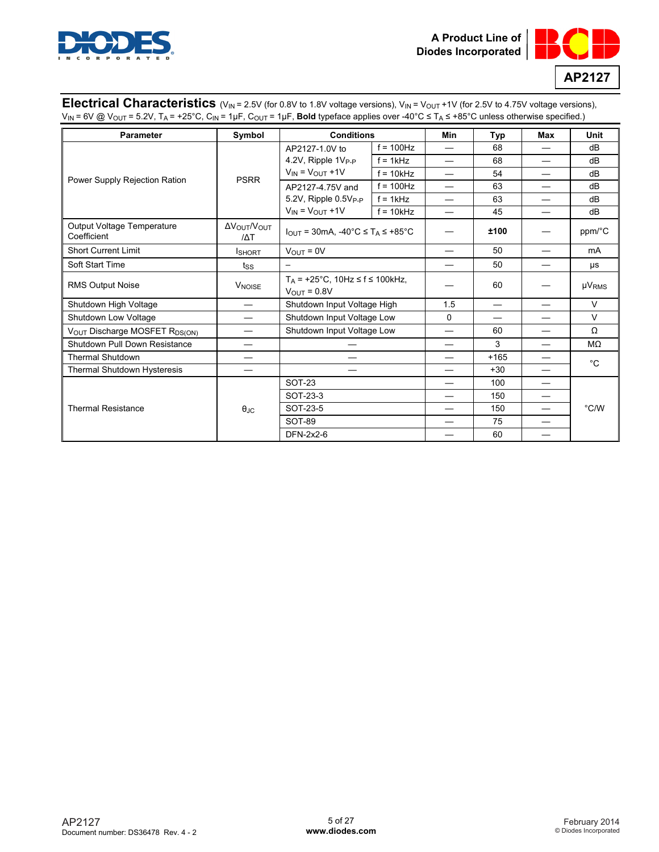



## **Electrical Characteristics** (V<sub>IN</sub> = 2.5V (for 0.8V to 1.8V voltage versions), V<sub>IN</sub> = V<sub>OUT</sub> +1V (for 2.5V to 4.75V voltage versions), VIN = 6V @ VOUT = 5.2V, TA = +25°C, CIN = 1μF, COUT = 1μF, **Bold** typeface applies over -40°C ≤ TA ≤ +85°C unless otherwise specified.)

| <b>Parameter</b>                          | Symbol                   | <b>Conditions</b>                                                      |                             | Min | Typ    | Max | Unit          |
|-------------------------------------------|--------------------------|------------------------------------------------------------------------|-----------------------------|-----|--------|-----|---------------|
|                                           |                          | AP2127-1.0V to                                                         | $f = 100$ Hz                |     | 68     |     | dB            |
|                                           |                          | 4.2V, Ripple 1V <sub>P-P</sub>                                         | $f = 1kHz$                  |     | 68     |     | dB            |
|                                           | <b>PSRR</b>              | $V_{IN} = V_{OUT} + 1V$                                                | $f = 10kHz$                 |     | 54     |     | dB            |
| Power Supply Rejection Ration             |                          | AP2127-4.75V and                                                       | $f = 100$ Hz                |     | 63     |     | dB            |
|                                           |                          | 5.2V, Ripple 0.5V <sub>P-P</sub>                                       | $f = 1kHz$                  |     | 63     |     | dB            |
|                                           |                          | $V_{IN} = V_{OUT} + 1V$                                                | $f = 10kHz$                 |     | 45     |     | dB            |
| Output Voltage Temperature<br>Coefficient | Δ Ο Ο ΜΟΝΤ<br>$\Delta T$ | $I_{\text{OUT}}$ = 30mA, -40°C $\leq$ T <sub>A</sub> $\leq$ +85°C      |                             |     | ±100   |     | ppm/°C        |
| <b>Short Current Limit</b>                | <b>I</b> SHORT           | $V_{\text{OUT}} = 0V$                                                  |                             |     | 50     |     | mA            |
| Soft Start Time                           | tss                      |                                                                        |                             |     | 50     |     | μs            |
| <b>RMS Output Noise</b>                   | <b>V<sub>NOISE</sub></b> | $T_A$ = +25°C, 10Hz $\leq$ f $\leq$ 100kHz,<br>$V_{\text{OUT}} = 0.8V$ |                             |     | 60     |     | $\mu V_{RMS}$ |
| Shutdown High Voltage                     | $\overline{\phantom{0}}$ |                                                                        | Shutdown Input Voltage High |     |        |     | $\vee$        |
| Shutdown Low Voltage                      |                          | Shutdown Input Voltage Low                                             |                             | 0   |        |     | $\vee$        |
| VOUT Discharge MOSFET R <sub>DS(ON)</sub> |                          | Shutdown Input Voltage Low                                             |                             |     | 60     |     | $\Omega$      |
| Shutdown Pull Down Resistance             |                          |                                                                        |                             |     | 3      |     | $M\Omega$     |
| <b>Thermal Shutdown</b>                   |                          |                                                                        |                             |     | $+165$ |     | $^{\circ}$ C  |
| Thermal Shutdown Hysteresis               |                          |                                                                        |                             |     | $+30$  |     |               |
|                                           |                          | <b>SOT-23</b>                                                          |                             |     | 100    |     |               |
|                                           |                          | SOT-23-3                                                               |                             |     | 150    |     | $\degree$ C/W |
| <b>Thermal Resistance</b>                 | $\theta$ JC              | SOT-23-5                                                               |                             |     | 150    |     |               |
|                                           |                          | <b>SOT-89</b>                                                          |                             |     | 75     |     |               |
|                                           |                          | DFN-2x2-6                                                              |                             |     | 60     |     |               |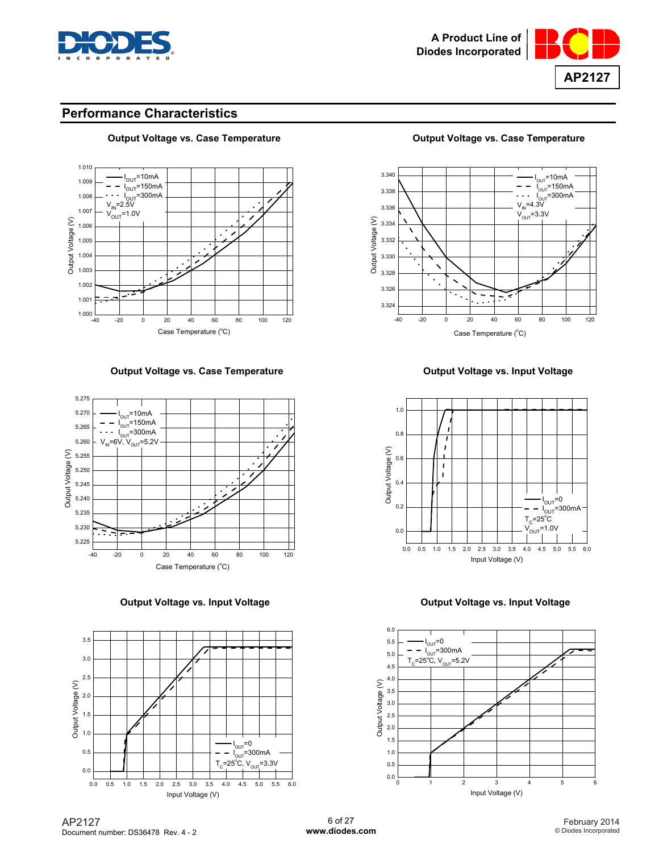



## **Performance Characteristics**



## **Output Voltage vs. Case Temperature Output Voltage vs. Case Temperature Output Voltage vs. Case Temperature**

**Output Voltage vs. Case Temperature**  Case **Case 1 Accord 2 Contract Point Voltage vs. Input Voltage** 









#### **Output Voltage vs. Input Voltage 19th Contract 20 Set Line Contract Voltage VS. Input Voltage 19th Contract 20 Set Line 20 Set Line 20 Set Line 20 Set Line 20 Set Line 20 Set Line 20 Set Line 20 Set Line 20 Set Line 20 Se**

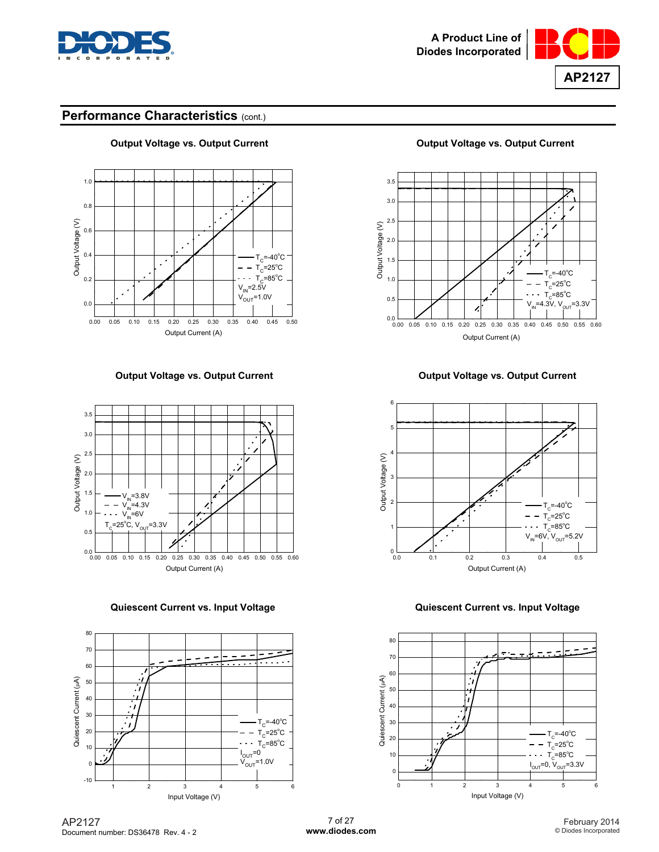







**Quiescent Current vs. Input Voltage Quiescent Current vs. Input Voltage** 



**Output Voltage vs. Output Current Current Current Current Current Current Current Current Current Current Current Current Current Current Current Current Current Current Current Current Current Current Current Current Cur** 



**Output Voltage vs. Output Current Current Current Current Current Current Current Current Current Current Current Current Current Current Current Current Current Current Current Current Current Current Current Current Cur** 



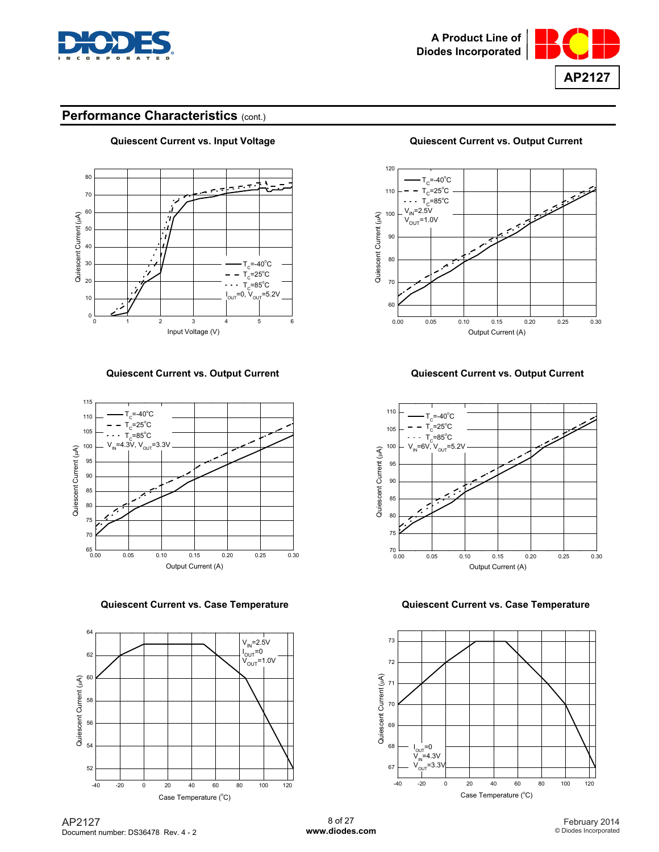







**Quiescent Current vs. Case Temperature Quiescent Current vs. Case Temperature** 



**Quiescent Current vs. Input Voltage Quiescent Current vs. Output Current** 



#### **Quiescent Current vs. Output Current Quiescent Current vs. Output Current**



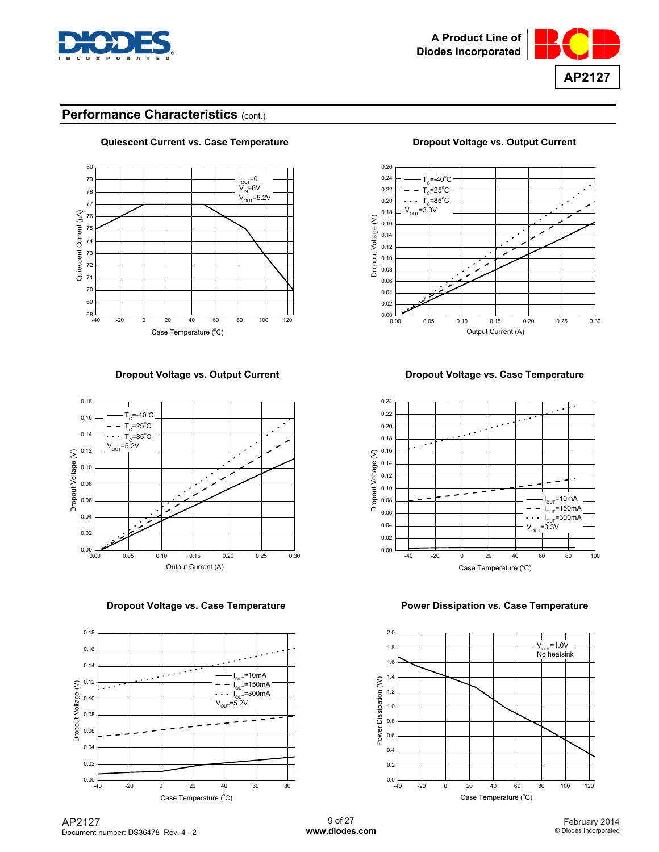









**Quiescent Current vs. Case Temperature**  Dropout Voltage vs. Output Current



**Dropout Voltage vs. Output Current Current Dropout Voltage vs. Case Temperature** 



#### **Dropout Voltage vs. Case Temperature Manual State 1 Convertsed Power Dissipation vs. Case Temperature**



AP2127 Document number: DS36478 Rev. 4 - 2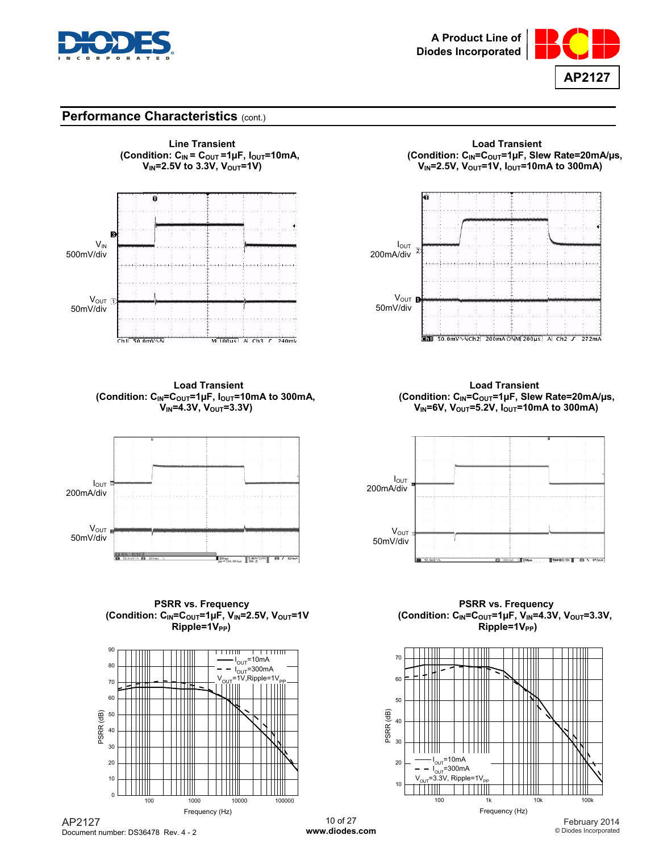





(Condition: C<sub>IN</sub>=C<sub>OUT</sub>=1µF,  $I_{\text{OUT}}$ =10mA to 300mA,<br>V<sub>IN</sub>=4.3V, V<sub>OUT</sub>=3.3V)



PSRR vs. Frequency<br>(Condition: C<sub>IN</sub>=C<sub>OUT</sub>=1µF, V<sub>IN</sub>=2.5V, V<sub>OUT</sub>=1V (Condition: C<sub>IN</sub>=C<sub>OUT</sub>=1µF, V<sub>IN</sub>=4.3 **Ripple=1V<sub>PP</sub>**)



dition: C<sub>IN</sub> = C<sub>OUT</sub> =1µF, I<sub>OUT</sub>=10mA, (Condition: C<sub>IN</sub>=C<sub>OUT</sub>=1µF, Slew Rate=20mA/µs,<br>V<sub>IN</sub>=2.5V to 3.3V, V<sub>OUT</sub>=1V) V<sub>IN</sub>=2.5V, V<sub>OUT</sub>=1V, I<sub>OUT</sub>=10mA to 300mA)  $V_{\text{IN}}$ =2.5V,  $V_{\text{OUT}}$ =1V,  $I_{\text{OUT}}$ =10mA to 300mA)



**Load Transient Load Transient V<sub>IN</sub>=6V, V<sub>OUT</sub>=5.2V, I<sub>OUT</sub>=10mA to 300mA)** 



(Condition: C<sub>IN</sub>=C<sub>OUT</sub>=1µF, V<sub>IN</sub>=4.3V, V<sub>OUT</sub>=3.3V, Ripple=1V<sub>PP</sub>)



AP2127 Document number: DS36478 Rev. 4 - 2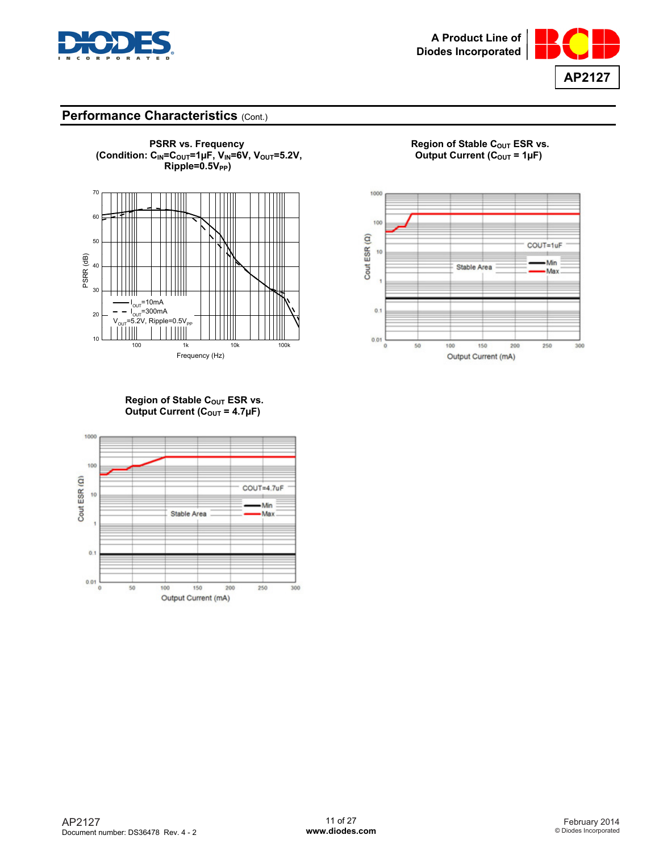









Region of Stable C<sub>OUT</sub> ESR vs. **Output Current (C<sub>OUT</sub> = 4.7µF)** 

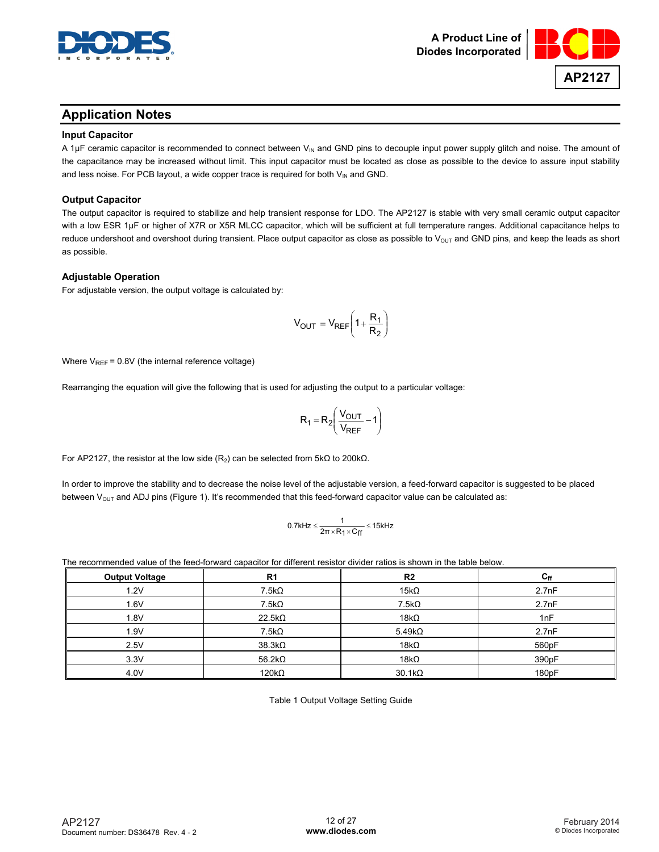



# **Application Notes**

#### **Input Capacitor**

A 1 $\mu$ F ceramic capacitor is recommended to connect between V<sub>IN</sub> and GND pins to decouple input power supply glitch and noise. The amount of the capacitance may be increased without limit. This input capacitor must be located as close as possible to the device to assure input stability and less noise. For PCB layout, a wide copper trace is required for both  $V_{IN}$  and GND.

### **Output Capacitor**

The output capacitor is required to stabilize and help transient response for LDO. The AP2127 is stable with very small ceramic output capacitor with a low ESR 1µF or higher of X7R or X5R MLCC capacitor, which will be sufficient at full temperature ranges. Additional capacitance helps to reduce undershoot and overshoot during transient. Place output capacitor as close as possible to  $V_{\text{OUT}}$  and GND pins, and keep the leads as short as possible.

#### **Adjustable Operation**

For adjustable version, the output voltage is calculated by:

$$
V_{OUT} = V_{REF} \left( 1 + \frac{R_1}{R_2} \right)
$$

Where  $V_{REF}$  = 0.8V (the internal reference voltage)

Rearranging the equation will give the following that is used for adjusting the output to a particular voltage:

$$
R_1 = R_2 \left( \frac{V_{OUT}}{V_{REF}} - 1 \right)
$$

For AP2127, the resistor at the low side (R<sub>2</sub>) can be selected from 5kΩ to 200kΩ.

In order to improve the stability and to decrease the noise level of the adjustable version, a feed-forward capacitor is suggested to be placed between  $V_{OUT}$  and ADJ pins (Figure 1). It's recommended that this feed-forward capacitor value can be calculated as:

$$
0.7kHz \leq \frac{1}{2\pi \times R_1 \times C_{ff}} \leq 15kHz
$$

The recommended value of the feed-forward capacitor for different resistor divider ratios is shown in the table below.

| <b>Output Voltage</b> | R <sub>1</sub> | R <sub>2</sub> | $\mathbf{c}_{\mathsf{ff}}$ |
|-----------------------|----------------|----------------|----------------------------|
| 1.2V                  | $7.5k\Omega$   | $15k\Omega$    | 2.7nF                      |
| 1.6V                  | 7.5kΩ          | $7.5k\Omega$   | 2.7nF                      |
| 1.8V                  | $22.5k\Omega$  | $18k\Omega$    | 1nF                        |
| 1.9V                  | $7.5k\Omega$   | $5.49k\Omega$  | 2.7nF                      |
| 2.5V                  | $38.3k\Omega$  | $18k\Omega$    | 560pF                      |
| 3.3V                  | 56.2k $\Omega$ | $18k\Omega$    | 390pF                      |
| 4.0V                  | $120k\Omega$   | $30.1k\Omega$  | 180pF                      |

Table 1 Output Voltage Setting Guide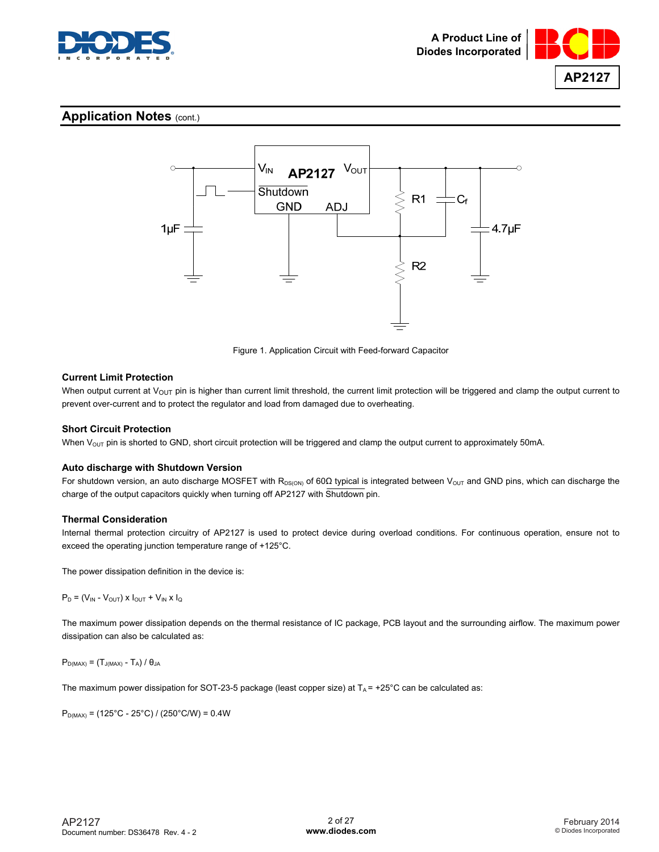

**AP2127**

## **Application Notes** (cont.)



Figure 1. Application Circuit with Feed-forward Capacitor

#### **Current Limit Protection**

When output current at  $V_{\text{OUT}}$  pin is higher than current limit threshold, the current limit protection will be triggered and clamp the output current to prevent over-current and to protect the regulator and load from damaged due to overheating.

### **Short Circuit Protection**

When  $V_{OUT}$  pin is shorted to GND, short circuit protection will be triggered and clamp the output current to approximately 50mA.

#### **Auto discharge with Shutdown Version**

For shutdown version, an auto discharge MOSFET with R<sub>DS(ON)</sub> of 60Ω typical is integrated between V<sub>OUT</sub> and GND pins, which can discharge the charge of the output capacitors quickly when turning off AP2127 with Shutdown pin.

#### **Thermal Consideration**

Internal thermal protection circuitry of AP2127 is used to protect device during overload conditions. For continuous operation, ensure not to exceed the operating junction temperature range of +125°C.

The power dissipation definition in the device is:

 $P_D = (V_{IN} - V_{OUT}) \times I_{OUT} + V_{IN} \times I_Q$ 

The maximum power dissipation depends on the thermal resistance of IC package, PCB layout and the surrounding airflow. The maximum power dissipation can also be calculated as:

 $P_{D(MAX)} = (T_{J(MAX)} - T_A) / \theta_{JA}$ 

The maximum power dissipation for SOT-23-5 package (least copper size) at  $T_A$  = +25°C can be calculated as:

 $P_{D(MAX)} = (125^{\circ}C - 25^{\circ}C) / (250^{\circ}C/W) = 0.4W$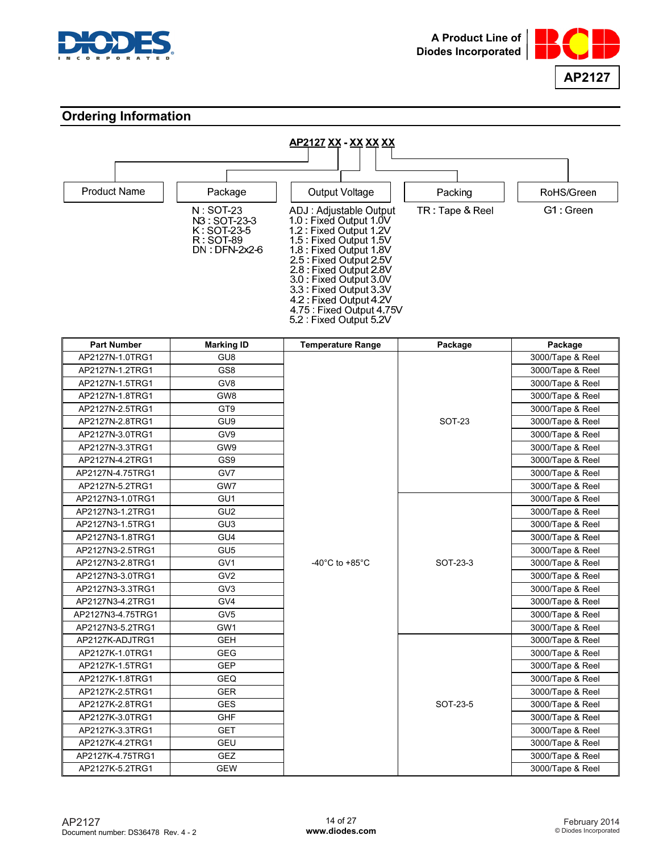



# **Ordering Information**



| <b>Part Number</b> | <b>Marking ID</b> | <b>Temperature Range</b>             | Package       | Package          |
|--------------------|-------------------|--------------------------------------|---------------|------------------|
| AP2127N-1.0TRG1    | GU <sub>8</sub>   |                                      |               | 3000/Tape & Reel |
| AP2127N-1.2TRG1    | GS8               |                                      |               | 3000/Tape & Reel |
| AP2127N-1.5TRG1    | GV <sub>8</sub>   |                                      |               | 3000/Tape & Reel |
| AP2127N-1.8TRG1    | GW8               |                                      |               | 3000/Tape & Reel |
| AP2127N-2.5TRG1    | GT <sub>9</sub>   |                                      |               | 3000/Tape & Reel |
| AP2127N-2.8TRG1    | GU <sub>9</sub>   |                                      | <b>SOT-23</b> | 3000/Tape & Reel |
| AP2127N-3.0TRG1    | GV9               |                                      |               | 3000/Tape & Reel |
| AP2127N-3.3TRG1    | GW9               |                                      |               | 3000/Tape & Reel |
| AP2127N-4.2TRG1    | GS9               |                                      |               | 3000/Tape & Reel |
| AP2127N-4.75TRG1   | GV7               |                                      |               | 3000/Tape & Reel |
| AP2127N-5.2TRG1    | GW7               |                                      |               | 3000/Tape & Reel |
| AP2127N3-1.0TRG1   | GU <sub>1</sub>   |                                      |               | 3000/Tape & Reel |
| AP2127N3-1.2TRG1   | GU <sub>2</sub>   |                                      |               | 3000/Tape & Reel |
| AP2127N3-1.5TRG1   | GU <sub>3</sub>   |                                      |               | 3000/Tape & Reel |
| AP2127N3-1.8TRG1   | GU4               |                                      |               | 3000/Tape & Reel |
| AP2127N3-2.5TRG1   | GU <sub>5</sub>   |                                      |               | 3000/Tape & Reel |
| AP2127N3-2.8TRG1   | GV <sub>1</sub>   | -40 $^{\circ}$ C to +85 $^{\circ}$ C | SOT-23-3      | 3000/Tape & Reel |
| AP2127N3-3.0TRG1   | GV <sub>2</sub>   |                                      |               | 3000/Tape & Reel |
| AP2127N3-3.3TRG1   | GV3               |                                      |               | 3000/Tape & Reel |
| AP2127N3-4.2TRG1   | GV4               |                                      |               | 3000/Tape & Reel |
| AP2127N3-4.75TRG1  | GV <sub>5</sub>   |                                      |               | 3000/Tape & Reel |
| AP2127N3-5.2TRG1   | GW <sub>1</sub>   |                                      |               | 3000/Tape & Reel |
| AP2127K-ADJTRG1    | <b>GEH</b>        |                                      |               | 3000/Tape & Reel |
| AP2127K-1.0TRG1    | <b>GEG</b>        |                                      |               | 3000/Tape & Reel |
| AP2127K-1.5TRG1    | <b>GEP</b>        |                                      |               | 3000/Tape & Reel |
| AP2127K-1.8TRG1    | <b>GEQ</b>        |                                      |               | 3000/Tape & Reel |
| AP2127K-2.5TRG1    | <b>GER</b>        |                                      |               | 3000/Tape & Reel |
| AP2127K-2.8TRG1    | <b>GES</b>        |                                      | SOT-23-5      | 3000/Tape & Reel |
| AP2127K-3.0TRG1    | <b>GHF</b>        |                                      |               | 3000/Tape & Reel |
| AP2127K-3.3TRG1    | <b>GET</b>        |                                      |               | 3000/Tape & Reel |
| AP2127K-4.2TRG1    | GEU               |                                      |               | 3000/Tape & Reel |
| AP2127K-4.75TRG1   | <b>GEZ</b>        |                                      |               | 3000/Tape & Reel |
| AP2127K-5.2TRG1    | <b>GEW</b>        |                                      |               | 3000/Tape & Reel |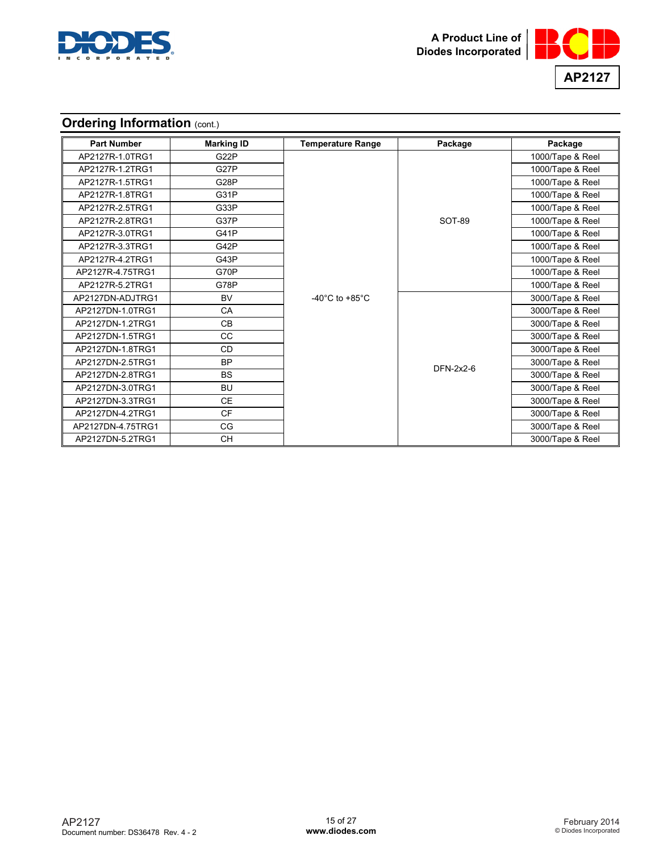



# **Ordering Information (cont.)**

| <b>Part Number</b> | <b>Marking ID</b> | <b>Temperature Range</b>             | Package       | Package          |
|--------------------|-------------------|--------------------------------------|---------------|------------------|
| AP2127R-1.0TRG1    | G <sub>22</sub> P |                                      |               | 1000/Tape & Reel |
| AP2127R-1.2TRG1    | G <sub>27</sub> P |                                      |               | 1000/Tape & Reel |
| AP2127R-1.5TRG1    | G <sub>28</sub> P |                                      |               | 1000/Tape & Reel |
| AP2127R-1.8TRG1    | G31P              |                                      |               | 1000/Tape & Reel |
| AP2127R-2.5TRG1    | G33P              |                                      |               | 1000/Tape & Reel |
| AP2127R-2.8TRG1    | G37P              |                                      | <b>SOT-89</b> | 1000/Tape & Reel |
| AP2127R-3.0TRG1    | G41P              |                                      |               | 1000/Tape & Reel |
| AP2127R-3.3TRG1    | G42P              |                                      |               | 1000/Tape & Reel |
| AP2127R-4.2TRG1    | G43P              |                                      |               | 1000/Tape & Reel |
| AP2127R-4.75TRG1   | G70P              |                                      |               | 1000/Tape & Reel |
| AP2127R-5.2TRG1    | G78P              |                                      |               | 1000/Tape & Reel |
| AP2127DN-ADJTRG1   | <b>BV</b>         | -40 $^{\circ}$ C to +85 $^{\circ}$ C |               | 3000/Tape & Reel |
| AP2127DN-1.0TRG1   | CA                |                                      |               | 3000/Tape & Reel |
| AP2127DN-1.2TRG1   | <b>CB</b>         |                                      |               | 3000/Tape & Reel |
| AP2127DN-1.5TRG1   | CC.               |                                      |               | 3000/Tape & Reel |
| AP2127DN-1.8TRG1   | <b>CD</b>         |                                      |               | 3000/Tape & Reel |
| AP2127DN-2.5TRG1   | <b>BP</b>         |                                      | DFN-2x2-6     | 3000/Tape & Reel |
| AP2127DN-2.8TRG1   | <b>BS</b>         |                                      |               | 3000/Tape & Reel |
| AP2127DN-3.0TRG1   | <b>BU</b>         |                                      |               | 3000/Tape & Reel |
| AP2127DN-3.3TRG1   | <b>CE</b>         |                                      |               | 3000/Tape & Reel |
| AP2127DN-4.2TRG1   | <b>CF</b>         |                                      |               | 3000/Tape & Reel |
| AP2127DN-4.75TRG1  | CG                |                                      |               | 3000/Tape & Reel |
| AP2127DN-5.2TRG1   | <b>CH</b>         |                                      |               | 3000/Tape & Reel |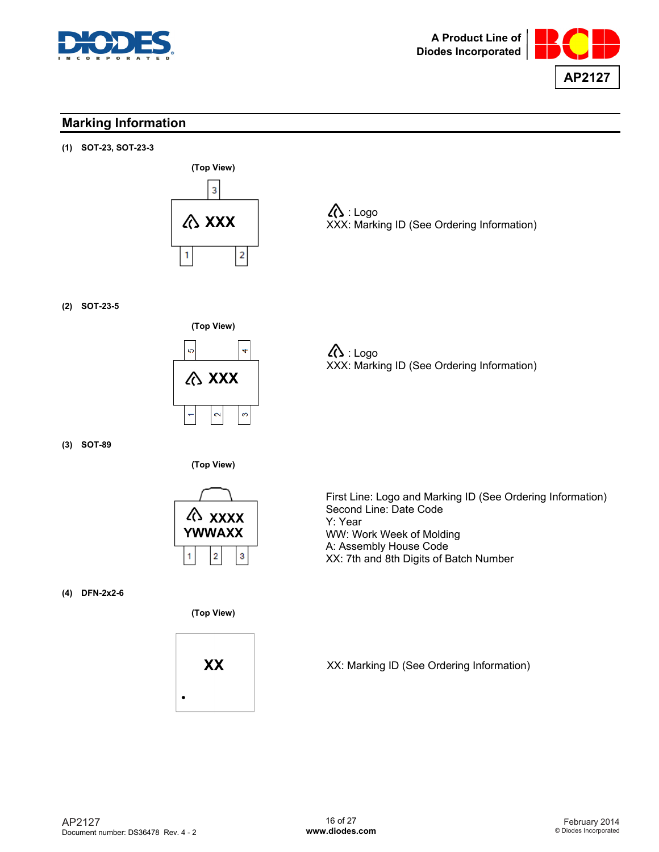



# **Marking Information**

**(1) SOT-23, SOT-23-3** 



 $\Lambda$ : Logo XXX: Marking ID (See Ordering Information)

**(2) SOT-23-5** 



 $\Lambda$ : Logo XXX: Marking ID (See Ordering Information)

**(3) SOT-89** 

**(Top View)** 



**(4) DFN-2x2-6** 

**(Top View)** 



First Line: Logo and Marking ID (See Ordering Information) Second Line: Date Code Y: Year WW: Work Week of Molding A: Assembly House Code XX: 7th and 8th Digits of Batch Number

XX: Marking ID (See Ordering Information)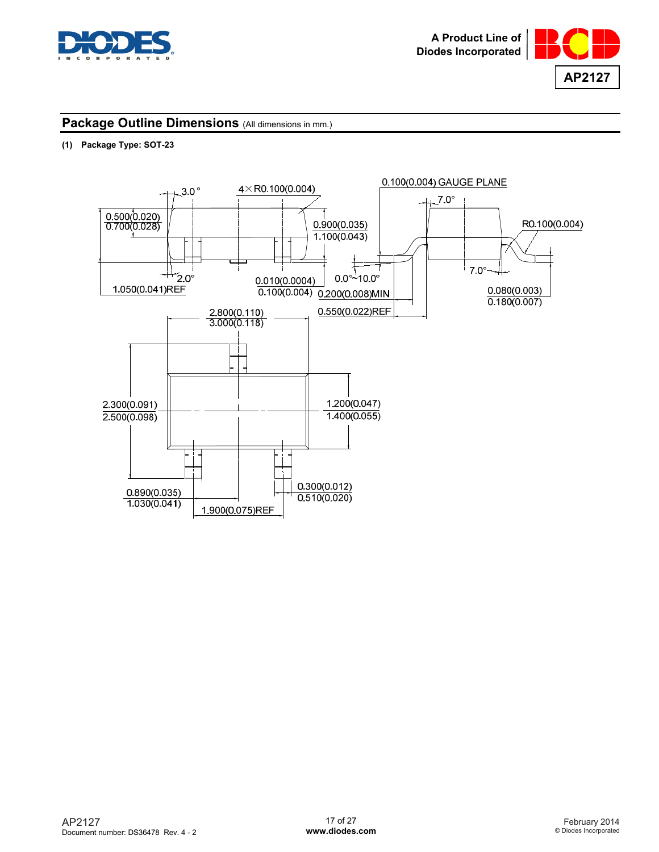



### **(1) Package Type: SOT-23**

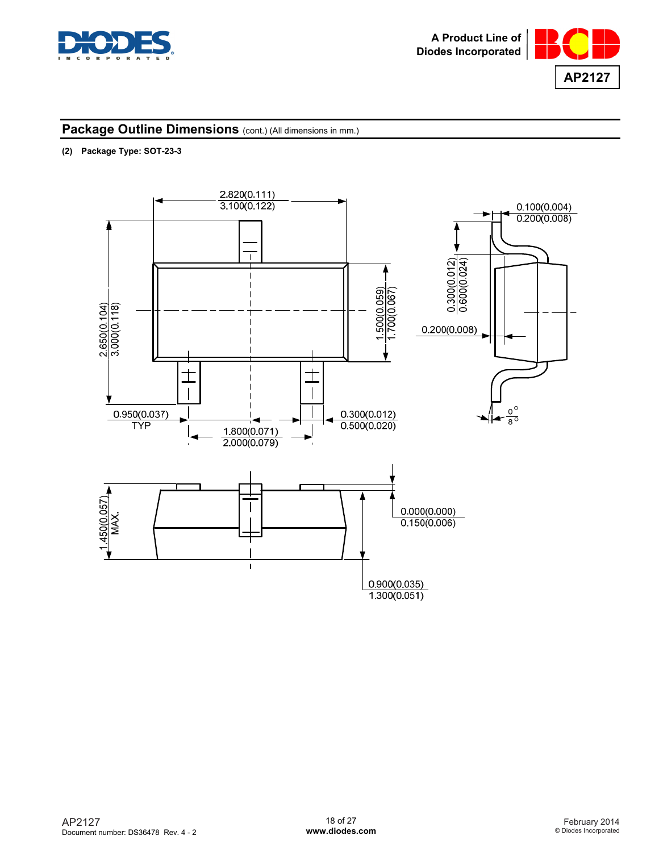



### **(2) Package Type: SOT-23-3**

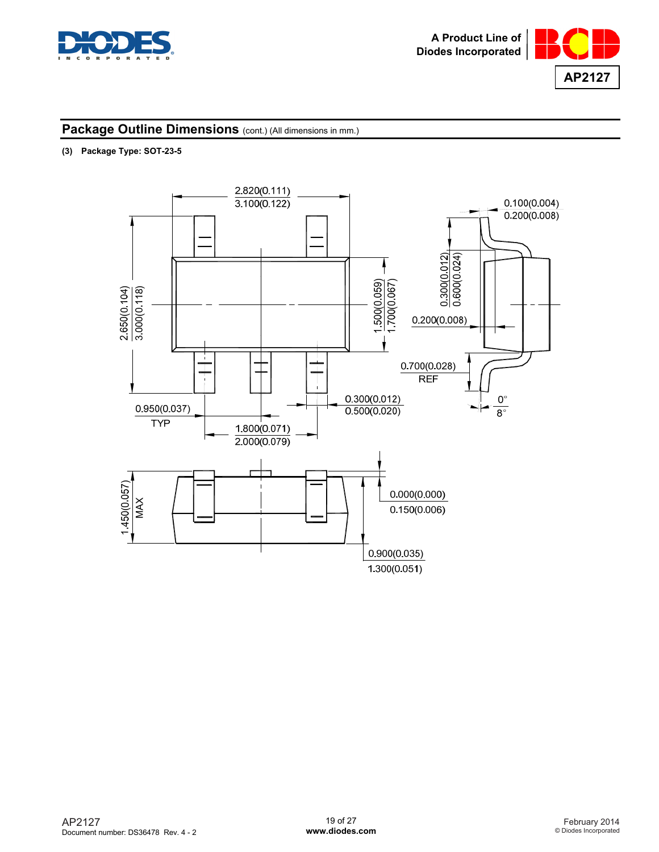



### **(3) Package Type: SOT-23-5**

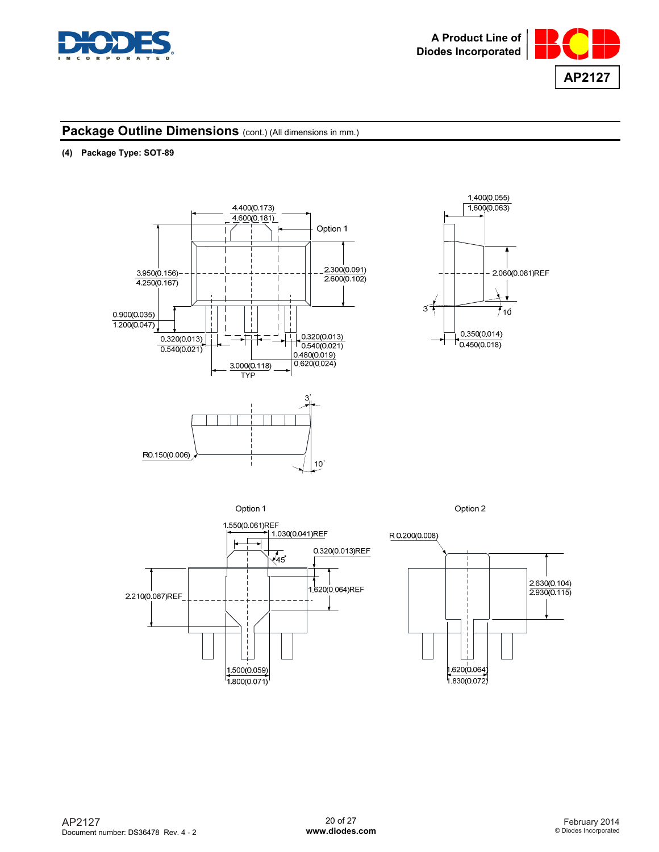



## **(4) Package Type: SOT-89**





Option 1



Option 2

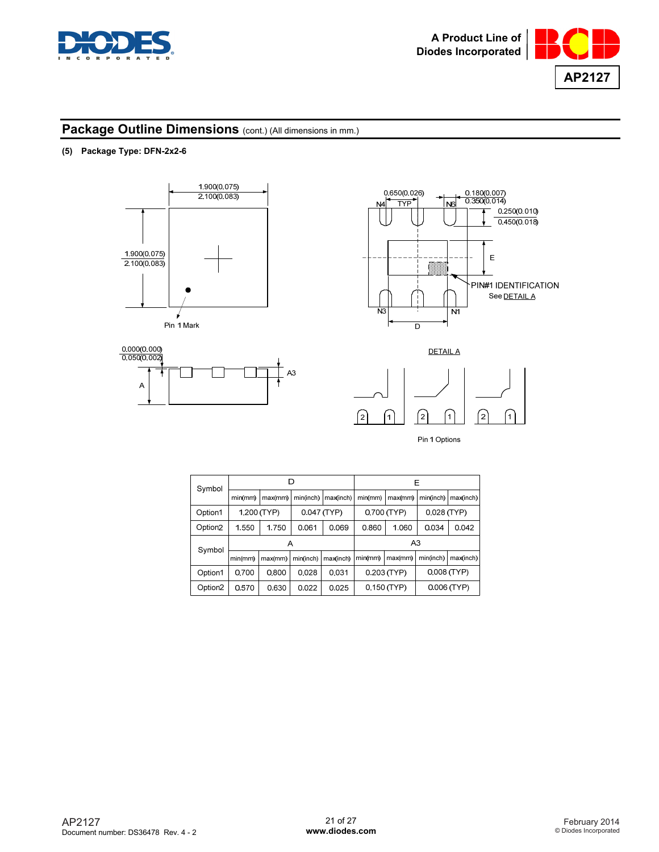



### **(5) Package Type: DFN-2x2-6**









| Symbol              |             | D       |             |           |                              | Ε           |               |               |
|---------------------|-------------|---------|-------------|-----------|------------------------------|-------------|---------------|---------------|
|                     | min(mm)     | max(mm) | min(inch)   | max(inch) | min(mm)                      | max(mm)     | min(inch)     | max(inch)     |
| Option1             | 1.200 (TYP) |         | 0.047 (TYP) |           | 0.700 (TYP)                  |             | $0.028$ (TYP) |               |
| Option <sub>2</sub> | 1.550       | 1.750   | 0.061       | 0.069     | 0.860                        | 1.060       | 0.034         | 0.042         |
| Symbol              | Α           |         |             |           | A3                           |             |               |               |
|                     | min(mm)     | max(mm) | min(inch)   | max(inch) | min(mm)                      | max(mm)     | min(inch)     | max(inch)     |
| Option1             | 0.700       | 0.800   | 0.028       | 0.031     | 0.203 (TYP)<br>$0.008$ (TYP) |             |               |               |
| Option <sub>2</sub> | 0.570       | 0.630   | 0.022       | 0.025     |                              | 0.150 (TYP) |               | $0.006$ (TYP) |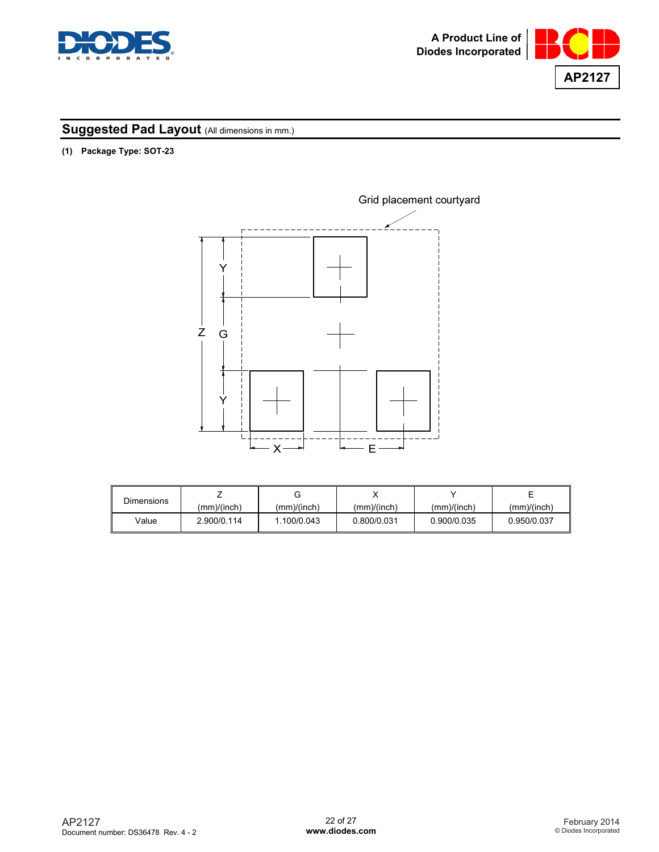



**(1) Package Type: SOT-23** 



| Dimensions |             | ت           |             |             |             |
|------------|-------------|-------------|-------------|-------------|-------------|
|            | (mm)/(inch) | (mm)/(inch) | (mm)/(inch) | (mm)/(inch) | (mm)/(inch) |
| Value      | 2.900/0.114 | 1.100/0.043 | 0.800/0.031 | 0.900/0.035 | 0.950/0.037 |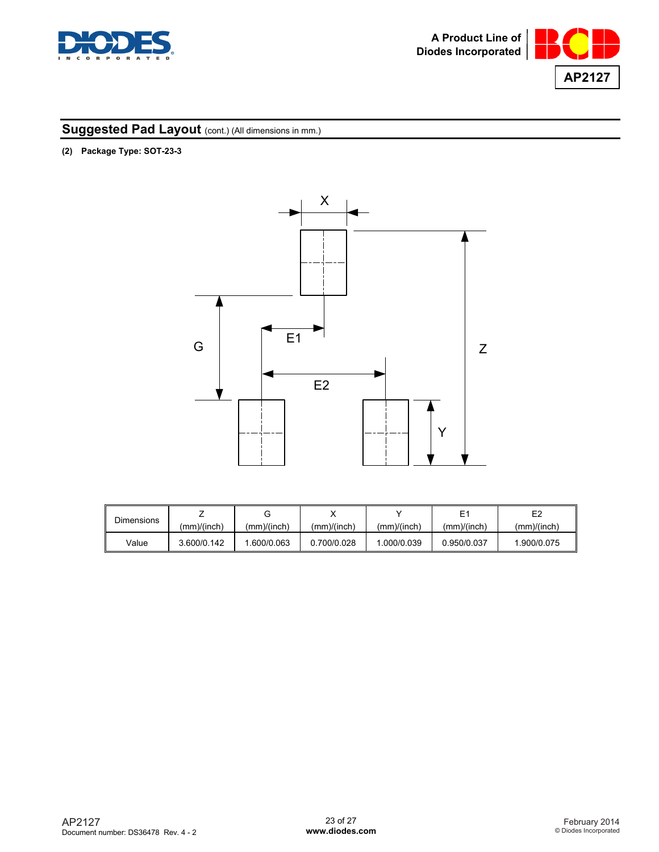



**(2) Package Type: SOT-23-3** 



| <b>Dimensions</b> |             |             |             |             |             | E <sub>2</sub> |
|-------------------|-------------|-------------|-------------|-------------|-------------|----------------|
|                   | (mm)/(inch) | (mm)/(inch) | (mm)/(inch) | (mm)/(inch) | (mm)/(inch) | (mm)/(inch)    |
| Value             | 3.600/0.142 | .600/0.063  | 0.700/0.028 | .000/0.039  | 0.950/0.037 | 1.900/0.075    |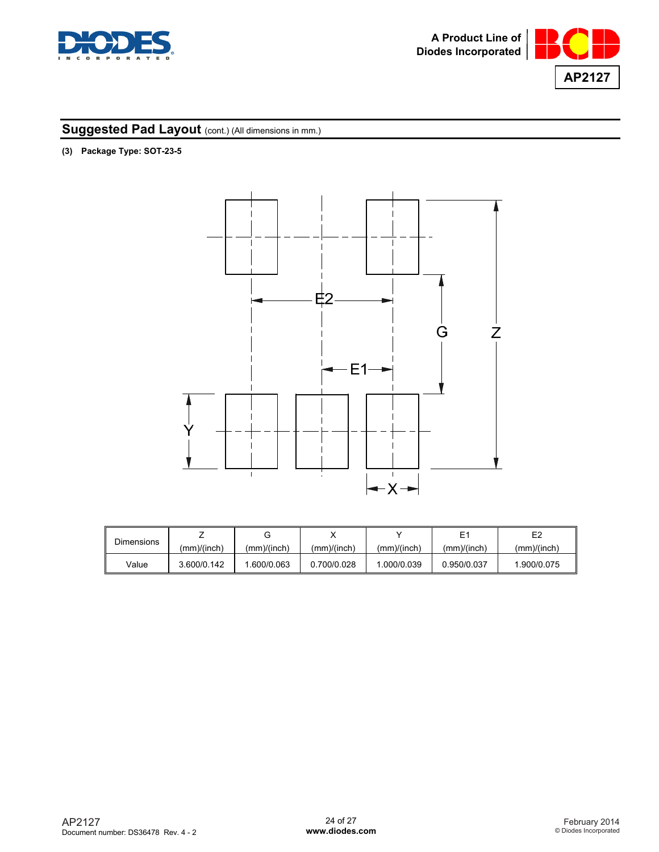



**(3) Package Type: SOT-23-5** 



| <b>Dimensions</b> |             |             |             |             |             | E <sub>2</sub> |
|-------------------|-------------|-------------|-------------|-------------|-------------|----------------|
|                   | (mm)/(inch) | (mm)/(inch) | (mm)/(inch) | (mm)/(inch) | (mm)/(inch) | (mm)/(inch)    |
| Value             | 3.600/0.142 | .600/0.063  | 0.700/0.028 | .000/0.039  | 0.950/0.037 | 1.900/0.075    |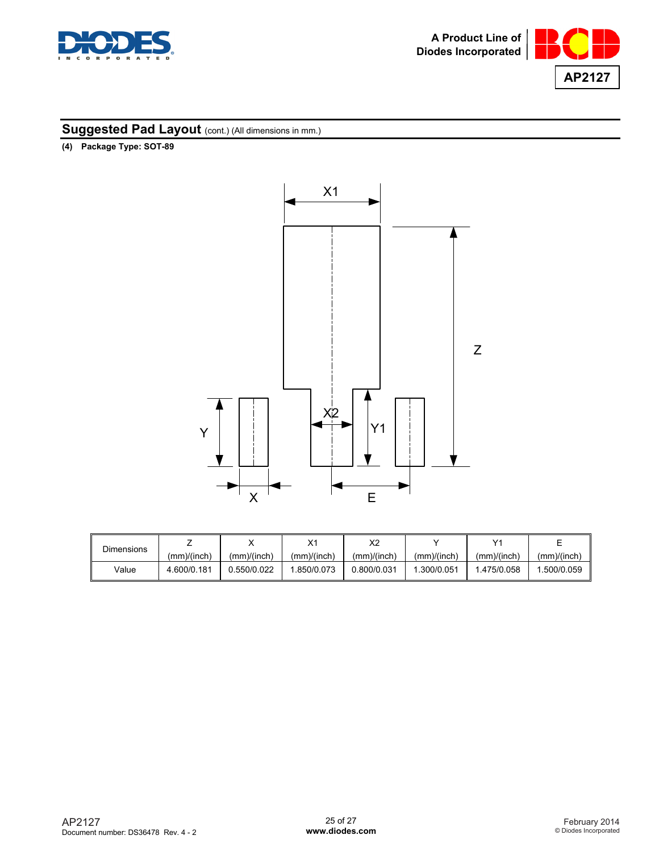



**(4) Package Type: SOT-89** 



| <b>Dimensions</b> |             |             | $\vee$      | X2          |             | v,          |             |
|-------------------|-------------|-------------|-------------|-------------|-------------|-------------|-------------|
|                   | (mm)/(inch) | (mm)/(inch) | (mm)/(inch) | (mm)/(inch) | (mm)/(inch) | (mm)/(inch) | (mm)/(inch) |
| Value             | 4.600/0.181 | 0.550/0.022 | .850/0.073  | 0.800/0.031 | .300/0.051  | 1.475/0.058 | .500/0.059  |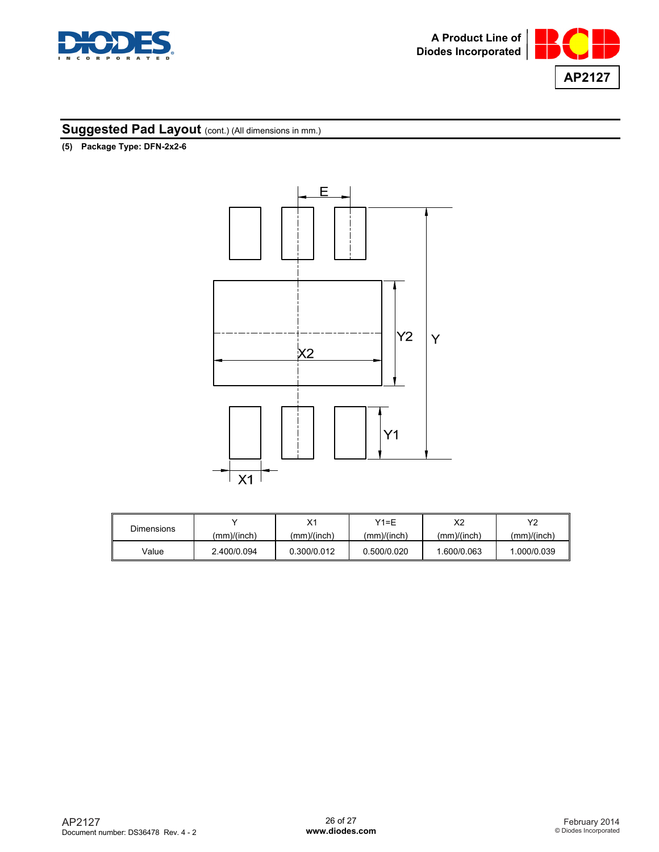



**(5) Package Type: DFN-2x2-6** 



| <b>Dimensions</b> |             | v.          | Y1=F        | X2          | vo          |
|-------------------|-------------|-------------|-------------|-------------|-------------|
|                   | (mm)/(inch) | (mm)/(inch) | (mm)/(inch) | (mm)/(inch) | (mm)/(inch) |
| Value             | 2.400/0.094 | 0.300/0.012 | 0.500/0.020 | 1.600/0.063 | 1.000/0.039 |